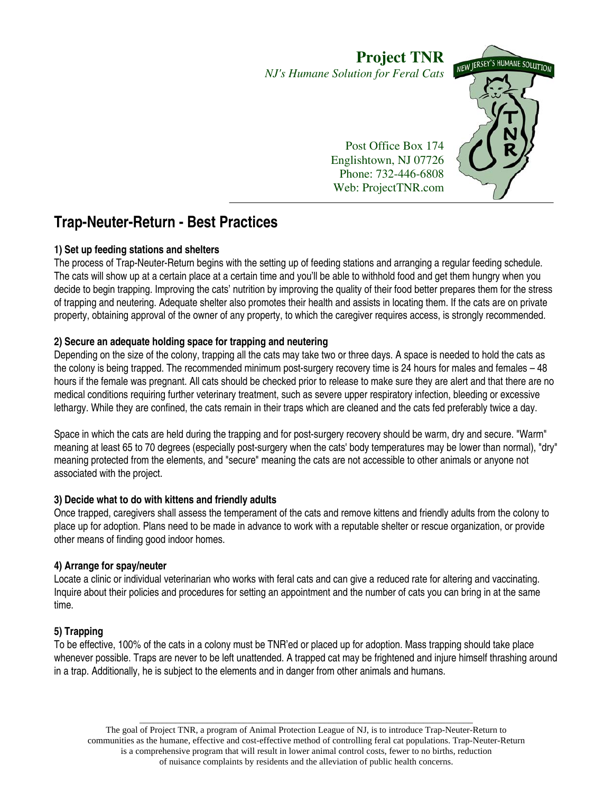# **Project TNR** NEW JERSEY'S HUMANE SOLUTION *NJ's Humane Solution for Feral Cats* Post Office Box 174 Englishtown, NJ 07726

Phone: 732-446-6808 Web: ProjectTNR.com

**Trap-Neuter-Return - Best Practices** 

### **1) Set up feeding stations and shelters**

The process of Trap-Neuter-Return begins with the setting up of feeding stations and arranging a regular feeding schedule. The cats will show up at a certain place at a certain time and you'll be able to withhold food and get them hungry when you decide to begin trapping. Improving the cats' nutrition by improving the quality of their food better prepares them for the stress of trapping and neutering. Adequate shelter also promotes their health and assists in locating them. If the cats are on private property, obtaining approval of the owner of any property, to which the caregiver requires access, is strongly recommended.

# **2) Secure an adequate holding space for trapping and neutering**

Depending on the size of the colony, trapping all the cats may take two or three days. A space is needed to hold the cats as the colony is being trapped. The recommended minimum post-surgery recovery time is 24 hours for males and females – 48 hours if the female was pregnant. All cats should be checked prior to release to make sure they are alert and that there are no medical conditions requiring further veterinary treatment, such as severe upper respiratory infection, bleeding or excessive lethargy. While they are confined, the cats remain in their traps which are cleaned and the cats fed preferably twice a day.

Space in which the cats are held during the trapping and for post-surgery recovery should be warm, dry and secure. "Warm" meaning at least 65 to 70 degrees (especially post-surgery when the cats' body temperatures may be lower than normal), "dry" meaning protected from the elements, and "secure" meaning the cats are not accessible to other animals or anyone not associated with the project.

### **3) Decide what to do with kittens and friendly adults**

Once trapped, caregivers shall assess the temperament of the cats and remove kittens and friendly adults from the colony to place up for adoption. Plans need to be made in advance to work with a reputable shelter or rescue organization, or provide other means of finding good indoor homes.

# **4) Arrange for spay/neuter**

Locate a clinic or individual veterinarian who works with feral cats and can give a reduced rate for altering and vaccinating. Inquire about their policies and procedures for setting an appointment and the number of cats you can bring in at the same time.

### **5) Trapping**

To be effective, 100% of the cats in a colony must be TNR'ed or placed up for adoption. Mass trapping should take place whenever possible. Traps are never to be left unattended. A trapped cat may be frightened and injure himself thrashing around in a trap. Additionally, he is subject to the elements and in danger from other animals and humans.

\_\_\_\_\_\_\_\_\_\_\_\_\_\_\_\_\_\_\_\_\_\_\_\_\_\_\_\_\_\_\_\_\_\_\_\_\_\_\_\_\_\_\_\_\_\_\_\_\_\_\_\_\_\_\_\_\_\_\_\_\_\_\_\_\_\_\_\_\_\_\_\_\_\_